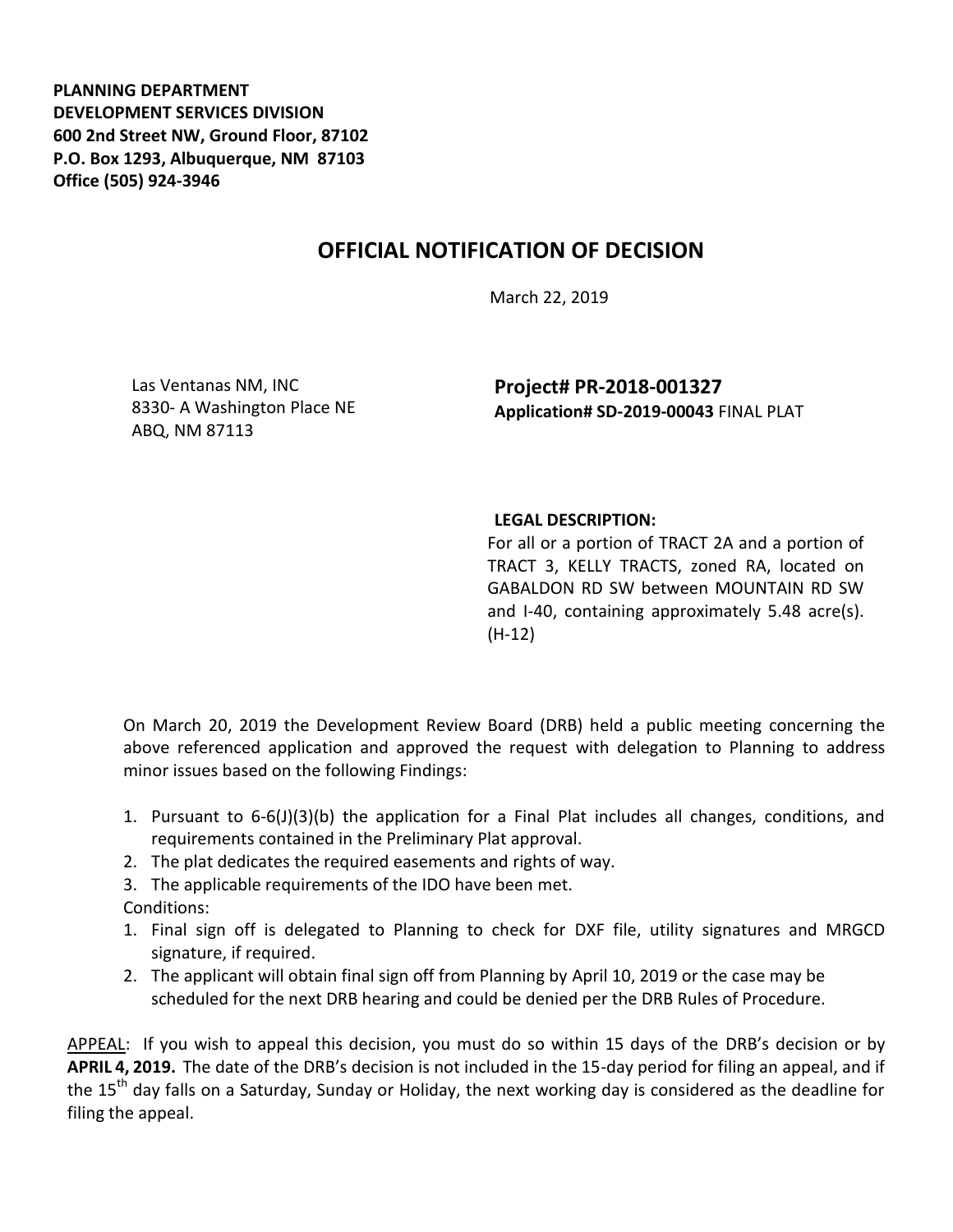**PLANNING DEPARTMENT DEVELOPMENT SERVICES DIVISION 600 2nd Street NW, Ground Floor, 87102 P.O. Box 1293, Albuquerque, NM 87103 Office (505) 924-3946** 

## **OFFICIAL NOTIFICATION OF DECISION**

March 22, 2019

Las Ventanas NM, INC 8330- A Washington Place NE ABQ, NM 87113

**Project# PR-2018-001327 Application# SD-2019-00043** FINAL PLAT

## **LEGAL DESCRIPTION:**

For all or a portion of TRACT 2A and a portion of TRACT 3, KELLY TRACTS, zoned RA, located on GABALDON RD SW between MOUNTAIN RD SW and I-40, containing approximately 5.48 acre(s). (H-12)

On March 20, 2019 the Development Review Board (DRB) held a public meeting concerning the above referenced application and approved the request with delegation to Planning to address minor issues based on the following Findings:

- 1. Pursuant to 6-6(J)(3)(b) the application for a Final Plat includes all changes, conditions, and requirements contained in the Preliminary Plat approval.
- 2. The plat dedicates the required easements and rights of way.
- 3. The applicable requirements of the IDO have been met.

Conditions:

- 1. Final sign off is delegated to Planning to check for DXF file, utility signatures and MRGCD signature, if required.
- 2. The applicant will obtain final sign off from Planning by April 10, 2019 or the case may be scheduled for the next DRB hearing and could be denied per the DRB Rules of Procedure.

APPEAL: If you wish to appeal this decision, you must do so within 15 days of the DRB's decision or by **APRIL 4, 2019.** The date of the DRB's decision is not included in the 15-day period for filing an appeal, and if the 15<sup>th</sup> day falls on a Saturday, Sunday or Holiday, the next working day is considered as the deadline for filing the appeal.